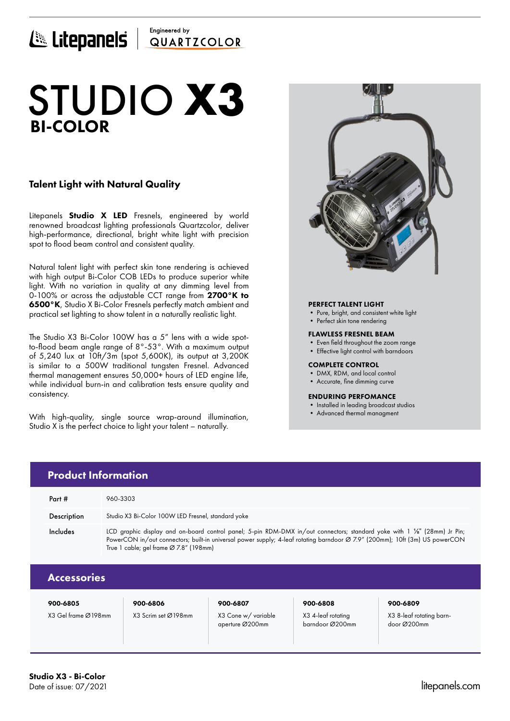# Engineered by E Litepanels QUARTICOLOR

# BI-COLOR STUDIO **X3**

# Talent Light with Natural Quality

Litepanels **Studio X LED** Fresnels, engineered by world renowned broadcast lighting professionals Quartzcolor, deliver high-performance, directional, bright white light with precision spot to flood beam control and consistent quality.

Natural talent light with perfect skin tone rendering is achieved with high output Bi-Color COB LEDs to produce superior white light. With no variation in quality at any dimming level from 0-100% or across the adjustable CCT range from 2700°K to 6500°K, Studio X Bi-Color Fresnels perfectly match ambient and practical set lighting to show talent in a naturally realistic light.

The Studio X3 Bi-Color 100W has a 5" lens with a wide spotto-flood beam angle range of 8°-53°. With a maximum output of 5,240 lux at 10ft/3m (spot 5,600K), its output at 3,200K is similar to a 500W traditional tungsten Fresnel. Advanced thermal management ensures 50,000+ hours of LED engine life, while individual burn-in and calibration tests ensure quality and consistency.

With high-quality, single source wrap-around illumination, Studio X is the perfect choice to light your talent – naturally.



## PERFECT TALENT LIGHT

- Pure, bright, and consistent white light
- Perfect skin tone rendering

### FLAWLESS FRESNEL BEAM

- Even field throughout the zoom range
- Effective light control with barndoors

### COMPLETE CONTROL

- DMX, RDM, and local control
- Accurate, fine dimming curve

### ENDURING PERFOMANCE

- Installed in leading broadcast studios
- Advanced thermal managment

|  | <b>Product Information</b> |                                                                                                                                                                                                                                                                                                    |  |  |  |  |
|--|----------------------------|----------------------------------------------------------------------------------------------------------------------------------------------------------------------------------------------------------------------------------------------------------------------------------------------------|--|--|--|--|
|  | Part $#$                   | 960-3303                                                                                                                                                                                                                                                                                           |  |  |  |  |
|  | Description                | Studio X3 Bi-Color 100W LED Fresnel, standard yoke                                                                                                                                                                                                                                                 |  |  |  |  |
|  | Includes                   | LCD graphic display and on-board control panel; 5-pin RDM-DMX in/out connectors; standard yoke with 1 1/8" (28mm) Jr Pin;<br>PowerCON in/out connectors; built-in universal power supply; 4-leaf rotating barndoor Ø 7.9" (200mm); 10ft (3m) US powerCON<br>True 1 cable; gel frame Ø 7.8" (198mm) |  |  |  |  |
|  | <b>Accessories</b>         |                                                                                                                                                                                                                                                                                                    |  |  |  |  |
|  |                            |                                                                                                                                                                                                                                                                                                    |  |  |  |  |

900-6805 900-6806 900-6807 900-6808 900-6809

X3 Gel frame Ø198mm X3 Scrim set Ø198mm X3 Cone w/ variable aperture Ø200mm

X3 4-leaf rotating barndoor Ø200mm

X3 8-leaf rotating barndoor Ø200mm